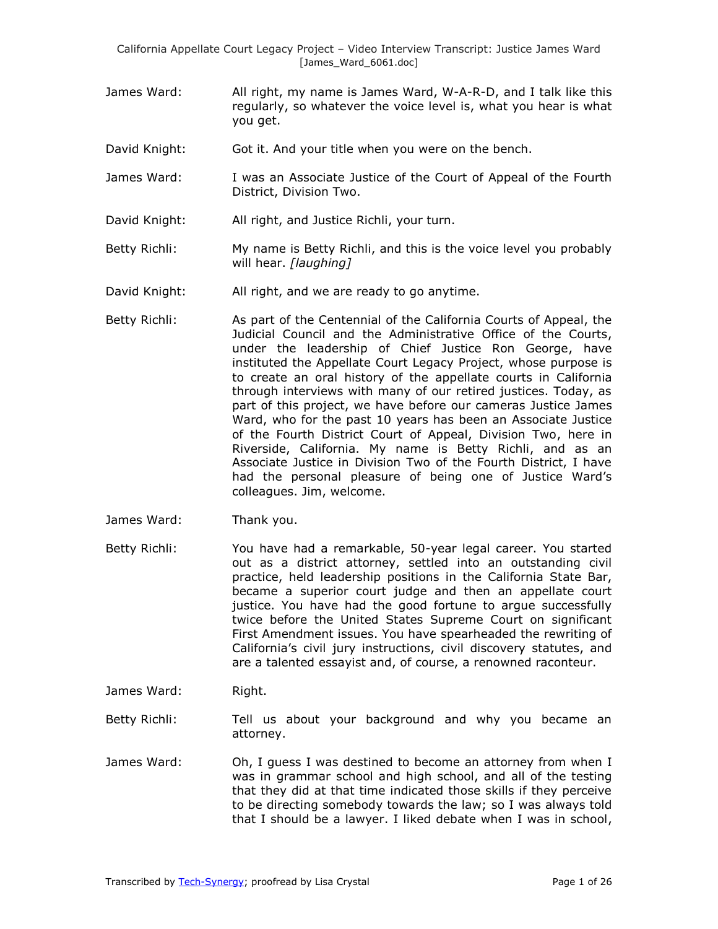- James Ward: All right, my name is James Ward, W-A-R-D, and I talk like this regularly, so whatever the voice level is, what you hear is what you get.
- David Knight: Got it. And your title when you were on the bench.
- James Ward: I was an Associate Justice of the Court of Appeal of the Fourth District, Division Two.
- David Knight: All right, and Justice Richli, your turn.
- Betty Richli: My name is Betty Richli, and this is the voice level you probably will hear. *[laughing]*
- David Knight: All right, and we are ready to go anytime.
- Betty Richli: As part of the Centennial of the California Courts of Appeal, the Judicial Council and the Administrative Office of the Courts, under the leadership of Chief Justice Ron George, have instituted the Appellate Court Legacy Project, whose purpose is to create an oral history of the appellate courts in California through interviews with many of our retired justices. Today, as part of this project, we have before our cameras Justice James Ward, who for the past 10 years has been an Associate Justice of the Fourth District Court of Appeal, Division Two, here in Riverside, California. My name is Betty Richli, and as an Associate Justice in Division Two of the Fourth District, I have had the personal pleasure of being one of Justice Ward's colleagues. Jim, welcome.
- James Ward: Thank you.
- Betty Richli: You have had a remarkable, 50-year legal career. You started out as a district attorney, settled into an outstanding civil practice, held leadership positions in the California State Bar, became a superior court judge and then an appellate court justice. You have had the good fortune to argue successfully twice before the United States Supreme Court on significant First Amendment issues. You have spearheaded the rewriting of California's civil jury instructions, civil discovery statutes, and are a talented essayist and, of course, a renowned raconteur.
- James Ward: Right.
- Betty Richli: Tell us about your background and why you became an attorney.
- James Ward: Oh, I guess I was destined to become an attorney from when I was in grammar school and high school, and all of the testing that they did at that time indicated those skills if they perceive to be directing somebody towards the law; so I was always told that I should be a lawyer. I liked debate when I was in school,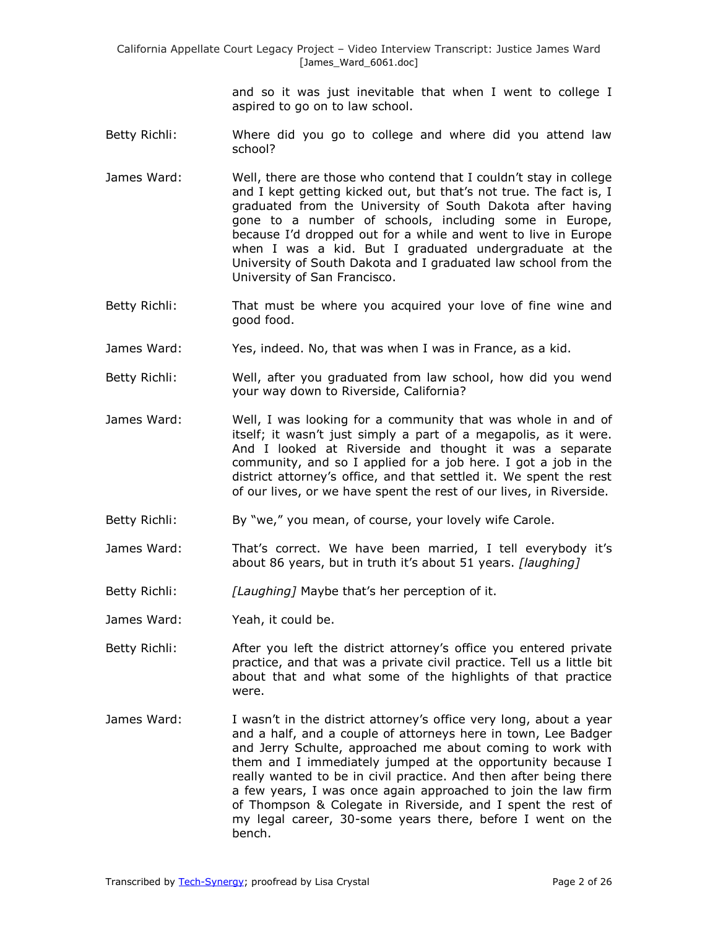and so it was just inevitable that when I went to college I aspired to go on to law school.

- Betty Richli: Where did you go to college and where did you attend law school?
- James Ward: Well, there are those who contend that I couldn't stay in college and I kept getting kicked out, but that's not true. The fact is, I graduated from the University of South Dakota after having gone to a number of schools, including some in Europe, because I'd dropped out for a while and went to live in Europe when I was a kid. But I graduated undergraduate at the University of South Dakota and I graduated law school from the University of San Francisco.
- Betty Richli: That must be where you acquired your love of fine wine and good food.
- James Ward: Yes, indeed. No, that was when I was in France, as a kid.
- Betty Richli: Well, after you graduated from law school, how did you wend your way down to Riverside, California?
- James Ward: Well, I was looking for a community that was whole in and of itself; it wasn't just simply a part of a megapolis, as it were. And I looked at Riverside and thought it was a separate community, and so I applied for a job here. I got a job in the district attorney's office, and that settled it. We spent the rest of our lives, or we have spent the rest of our lives, in Riverside.
- Betty Richli: By "we," you mean, of course, your lovely wife Carole.
- James Ward: That's correct. We have been married, I tell everybody it's about 86 years, but in truth it's about 51 years. *[laughing]*
- Betty Richli: *[Laughing]* Maybe that's her perception of it.
- James Ward: Yeah, it could be.
- Betty Richli: After you left the district attorney's office you entered private practice, and that was a private civil practice. Tell us a little bit about that and what some of the highlights of that practice were.
- James Ward: I wasn't in the district attorney's office very long, about a year and a half, and a couple of attorneys here in town, Lee Badger and Jerry Schulte, approached me about coming to work with them and I immediately jumped at the opportunity because I really wanted to be in civil practice. And then after being there a few years, I was once again approached to join the law firm of Thompson & Colegate in Riverside, and I spent the rest of my legal career, 30-some years there, before I went on the bench.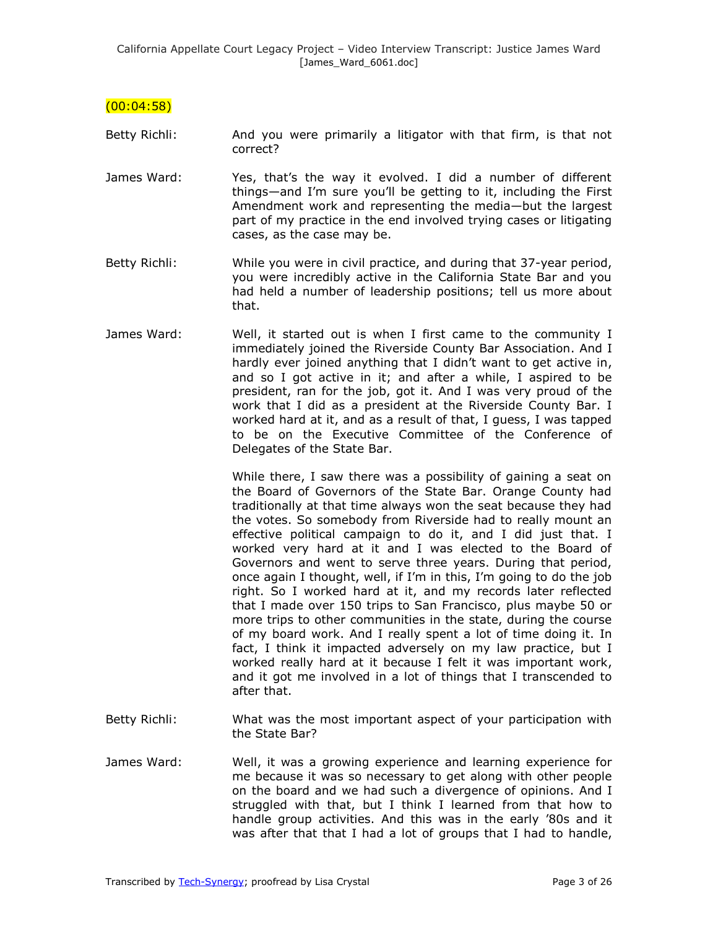$(00:04:58)$ 

- Betty Richli: And you were primarily a litigator with that firm, is that not correct?
- James Ward: Yes, that's the way it evolved. I did a number of different things—and I'm sure you'll be getting to it, including the First Amendment work and representing the media—but the largest part of my practice in the end involved trying cases or litigating cases, as the case may be.
- Betty Richli: While you were in civil practice, and during that 37-year period, you were incredibly active in the California State Bar and you had held a number of leadership positions; tell us more about that.
- James Ward: Well, it started out is when I first came to the community I immediately joined the Riverside County Bar Association. And I hardly ever joined anything that I didn't want to get active in, and so I got active in it; and after a while, I aspired to be president, ran for the job, got it. And I was very proud of the work that I did as a president at the Riverside County Bar. I worked hard at it, and as a result of that, I guess, I was tapped to be on the Executive Committee of the Conference of Delegates of the State Bar.

While there, I saw there was a possibility of gaining a seat on the Board of Governors of the State Bar. Orange County had traditionally at that time always won the seat because they had the votes. So somebody from Riverside had to really mount an effective political campaign to do it, and I did just that. I worked very hard at it and I was elected to the Board of Governors and went to serve three years. During that period, once again I thought, well, if I'm in this, I'm going to do the job right. So I worked hard at it, and my records later reflected that I made over 150 trips to San Francisco, plus maybe 50 or more trips to other communities in the state, during the course of my board work. And I really spent a lot of time doing it. In fact, I think it impacted adversely on my law practice, but I worked really hard at it because I felt it was important work, and it got me involved in a lot of things that I transcended to after that.

- Betty Richli: What was the most important aspect of your participation with the State Bar?
- James Ward: Well, it was a growing experience and learning experience for me because it was so necessary to get along with other people on the board and we had such a divergence of opinions. And I struggled with that, but I think I learned from that how to handle group activities. And this was in the early '80s and it was after that that I had a lot of groups that I had to handle,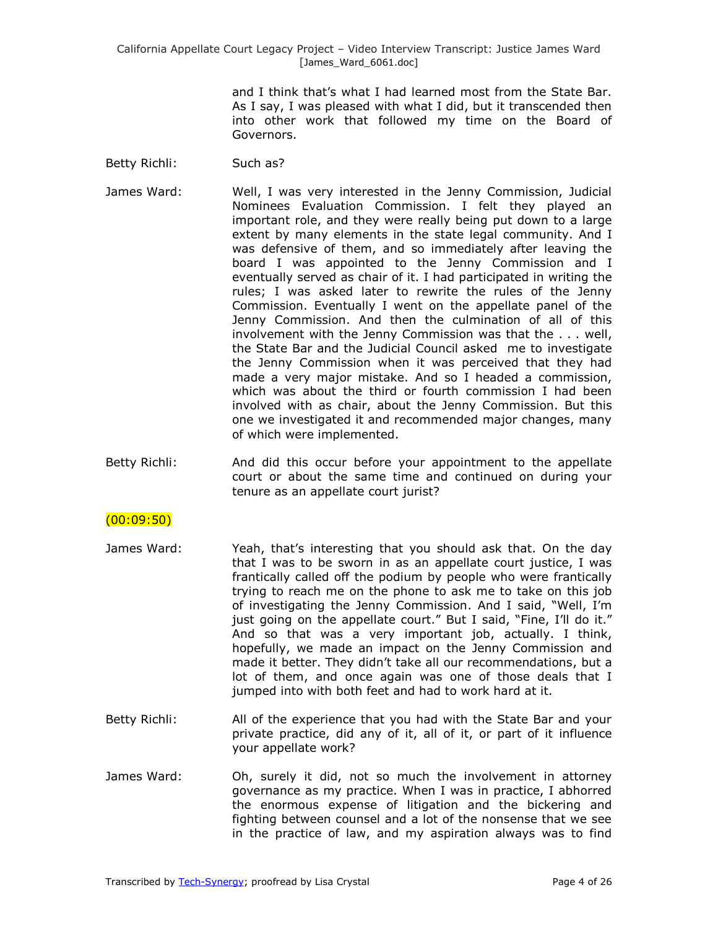> and I think that's what I had learned most from the State Bar. As I say, I was pleased with what I did, but it transcended then into other work that followed my time on the Board of Governors.

- Betty Richli: Such as?
- James Ward: Well, I was very interested in the Jenny Commission, Judicial Nominees Evaluation Commission. I felt they played an important role, and they were really being put down to a large extent by many elements in the state legal community. And I was defensive of them, and so immediately after leaving the board I was appointed to the Jenny Commission and I eventually served as chair of it. I had participated in writing the rules; I was asked later to rewrite the rules of the Jenny Commission. Eventually I went on the appellate panel of the Jenny Commission. And then the culmination of all of this involvement with the Jenny Commission was that the . . . well, the State Bar and the Judicial Council asked me to investigate the Jenny Commission when it was perceived that they had made a very major mistake. And so I headed a commission, which was about the third or fourth commission I had been involved with as chair, about the Jenny Commission. But this one we investigated it and recommended major changes, many of which were implemented.
- Betty Richli: And did this occur before your appointment to the appellate court or about the same time and continued on during your tenure as an appellate court jurist?

### $(00:09:50)$

- James Ward: Yeah, that's interesting that you should ask that. On the day that I was to be sworn in as an appellate court justice, I was frantically called off the podium by people who were frantically trying to reach me on the phone to ask me to take on this job of investigating the Jenny Commission. And I said, "Well, I'm just going on the appellate court." But I said, "Fine, I'll do it." And so that was a very important job, actually. I think, hopefully, we made an impact on the Jenny Commission and made it better. They didn't take all our recommendations, but a lot of them, and once again was one of those deals that I jumped into with both feet and had to work hard at it.
- Betty Richli: All of the experience that you had with the State Bar and your private practice, did any of it, all of it, or part of it influence your appellate work?
- James Ward: Oh, surely it did, not so much the involvement in attorney governance as my practice. When I was in practice, I abhorred the enormous expense of litigation and the bickering and fighting between counsel and a lot of the nonsense that we see in the practice of law, and my aspiration always was to find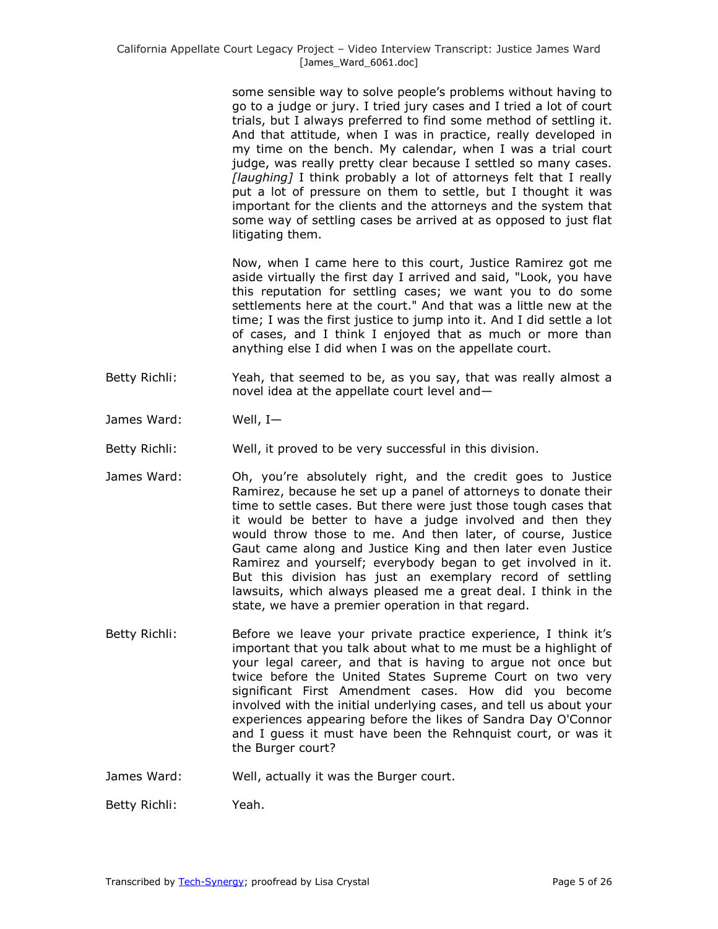some sensible way to solve people's problems without having to go to a judge or jury. I tried jury cases and I tried a lot of court trials, but I always preferred to find some method of settling it. And that attitude, when I was in practice, really developed in my time on the bench. My calendar, when I was a trial court judge, was really pretty clear because I settled so many cases. *[laughing]* I think probably a lot of attorneys felt that I really put a lot of pressure on them to settle, but I thought it was important for the clients and the attorneys and the system that some way of settling cases be arrived at as opposed to just flat litigating them.

Now, when I came here to this court, Justice Ramirez got me aside virtually the first day I arrived and said, "Look, you have this reputation for settling cases; we want you to do some settlements here at the court." And that was a little new at the time; I was the first justice to jump into it. And I did settle a lot of cases, and I think I enjoyed that as much or more than anything else I did when I was on the appellate court.

- Betty Richli: Yeah, that seemed to be, as you say, that was really almost a novel idea at the appellate court level and—
- James Ward: Well, I—
- Betty Richli: Well, it proved to be very successful in this division.
- James Ward: Oh, you're absolutely right, and the credit goes to Justice Ramirez, because he set up a panel of attorneys to donate their time to settle cases. But there were just those tough cases that it would be better to have a judge involved and then they would throw those to me. And then later, of course, Justice Gaut came along and Justice King and then later even Justice Ramirez and yourself; everybody began to get involved in it. But this division has just an exemplary record of settling lawsuits, which always pleased me a great deal. I think in the state, we have a premier operation in that regard.
- Betty Richli: Before we leave your private practice experience, I think it's important that you talk about what to me must be a highlight of your legal career, and that is having to argue not once but twice before the United States Supreme Court on two very significant First Amendment cases. How did you become involved with the initial underlying cases, and tell us about your experiences appearing before the likes of Sandra Day O'Connor and I guess it must have been the Rehnquist court, or was it the Burger court?
- James Ward: Well, actually it was the Burger court.

Betty Richli: Yeah.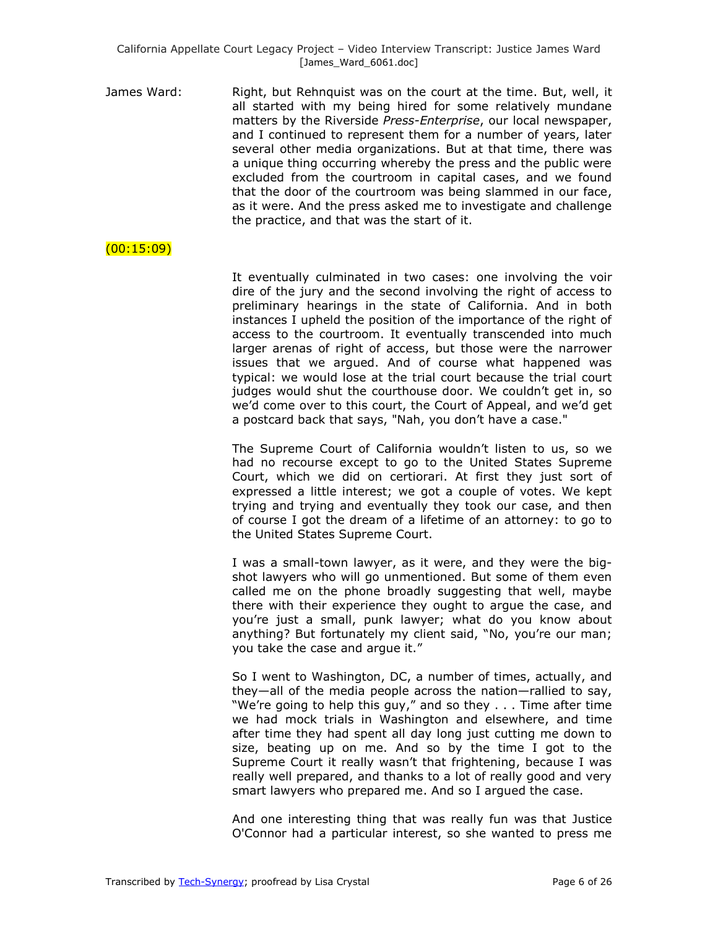James Ward: The Right, but Rehnquist was on the court at the time. But, well, it all started with my being hired for some relatively mundane matters by the Riverside *Press-Enterprise*, our local newspaper, and I continued to represent them for a number of years, later several other media organizations. But at that time, there was a unique thing occurring whereby the press and the public were excluded from the courtroom in capital cases, and we found that the door of the courtroom was being slammed in our face, as it were. And the press asked me to investigate and challenge the practice, and that was the start of it.

## (00:15:09)

It eventually culminated in two cases: one involving the voir dire of the jury and the second involving the right of access to preliminary hearings in the state of California. And in both instances I upheld the position of the importance of the right of access to the courtroom. It eventually transcended into much larger arenas of right of access, but those were the narrower issues that we argued. And of course what happened was typical: we would lose at the trial court because the trial court judges would shut the courthouse door. We couldn't get in, so we'd come over to this court, the Court of Appeal, and we'd get a postcard back that says, "Nah, you don't have a case."

The Supreme Court of California wouldn't listen to us, so we had no recourse except to go to the United States Supreme Court, which we did on certiorari. At first they just sort of expressed a little interest; we got a couple of votes. We kept trying and trying and eventually they took our case, and then of course I got the dream of a lifetime of an attorney: to go to the United States Supreme Court.

I was a small-town lawyer, as it were, and they were the bigshot lawyers who will go unmentioned. But some of them even called me on the phone broadly suggesting that well, maybe there with their experience they ought to argue the case, and you're just a small, punk lawyer; what do you know about anything? But fortunately my client said, "No, you're our man; you take the case and arque it."

So I went to Washington, DC, a number of times, actually, and they—all of the media people across the nation—rallied to say, "We're going to help this guy," and so they . . . Time after time we had mock trials in Washington and elsewhere, and time after time they had spent all day long just cutting me down to size, beating up on me. And so by the time I got to the Supreme Court it really wasn't that frightening, because I was really well prepared, and thanks to a lot of really good and very smart lawyers who prepared me. And so I argued the case.

And one interesting thing that was really fun was that Justice O'Connor had a particular interest, so she wanted to press me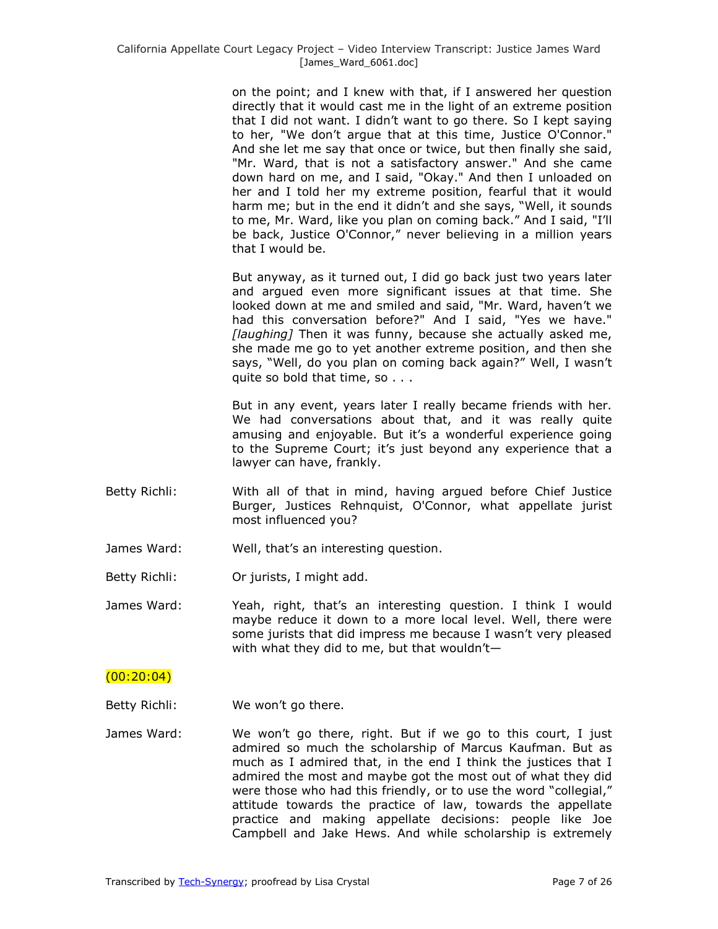on the point; and I knew with that, if I answered her question directly that it would cast me in the light of an extreme position that I did not want. I didn't want to go there. So I kept saying to her, "We don't argue that at this time, Justice O'Connor." And she let me say that once or twice, but then finally she said, "Mr. Ward, that is not a satisfactory answer." And she came down hard on me, and I said, "Okay." And then I unloaded on her and I told her my extreme position, fearful that it would harm me; but in the end it didn't and she says, "Well, it sounds to me, Mr. Ward, like you plan on coming back.‖ And I said, "I'll be back, Justice O'Connor," never believing in a million years that I would be.

But anyway, as it turned out, I did go back just two years later and argued even more significant issues at that time. She looked down at me and smiled and said, "Mr. Ward, haven't we had this conversation before?" And I said, "Yes we have." *[laughing]* Then it was funny, because she actually asked me, she made me go to yet another extreme position, and then she says, "Well, do you plan on coming back again?" Well, I wasn't quite so bold that time, so . . .

But in any event, years later I really became friends with her. We had conversations about that, and it was really quite amusing and enjoyable. But it's a wonderful experience going to the Supreme Court; it's just beyond any experience that a lawyer can have, frankly.

- Betty Richli: With all of that in mind, having argued before Chief Justice Burger, Justices Rehnquist, O'Connor, what appellate jurist most influenced you?
- James Ward: Well, that's an interesting question.

Betty Richli: **Or jurists, I might add.** 

James Ward: Yeah, right, that's an interesting question. I think I would maybe reduce it down to a more local level. Well, there were some jurists that did impress me because I wasn't very pleased with what they did to me, but that wouldn't—

#### $(00:20:04)$

- Betty Richli: We won't go there.
- James Ward: We won't go there, right. But if we go to this court, I just admired so much the scholarship of Marcus Kaufman. But as much as I admired that, in the end I think the justices that I admired the most and maybe got the most out of what they did were those who had this friendly, or to use the word "collegial," attitude towards the practice of law, towards the appellate practice and making appellate decisions: people like Joe Campbell and Jake Hews. And while scholarship is extremely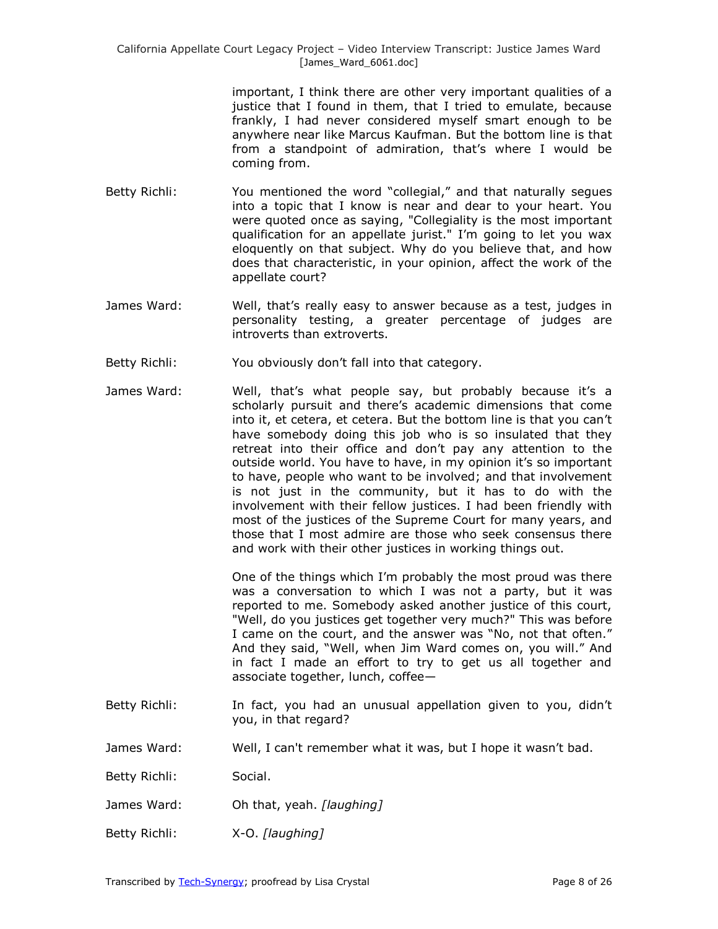> important, I think there are other very important qualities of a justice that I found in them, that I tried to emulate, because frankly, I had never considered myself smart enough to be anywhere near like Marcus Kaufman. But the bottom line is that from a standpoint of admiration, that's where I would be coming from.

- Betty Richli: You mentioned the word "collegial," and that naturally segues into a topic that I know is near and dear to your heart. You were quoted once as saying, "Collegiality is the most important qualification for an appellate jurist." I'm going to let you wax eloquently on that subject. Why do you believe that, and how does that characteristic, in your opinion, affect the work of the appellate court?
- James Ward: Well, that's really easy to answer because as a test, judges in personality testing, a greater percentage of judges are introverts than extroverts.
- Betty Richli: You obviously don't fall into that category.
- James Ward: Well, that's what people say, but probably because it's a scholarly pursuit and there's academic dimensions that come into it, et cetera, et cetera. But the bottom line is that you can't have somebody doing this job who is so insulated that they retreat into their office and don't pay any attention to the outside world. You have to have, in my opinion it's so important to have, people who want to be involved; and that involvement is not just in the community, but it has to do with the involvement with their fellow justices. I had been friendly with most of the justices of the Supreme Court for many years, and those that I most admire are those who seek consensus there and work with their other justices in working things out.

One of the things which I'm probably the most proud was there was a conversation to which I was not a party, but it was reported to me. Somebody asked another justice of this court, "Well, do you justices get together very much?" This was before I came on the court, and the answer was "No, not that often." And they said, "Well, when Jim Ward comes on, you will." And in fact I made an effort to try to get us all together and associate together, lunch, coffee—

- Betty Richli: In fact, you had an unusual appellation given to you, didn't you, in that regard?
- James Ward: Well, I can't remember what it was, but I hope it wasn't bad.
- Betty Richli: Social.
- James Ward: Oh that, yeah. *[laughing]*
- Betty Richli: X-O. *[laughing]*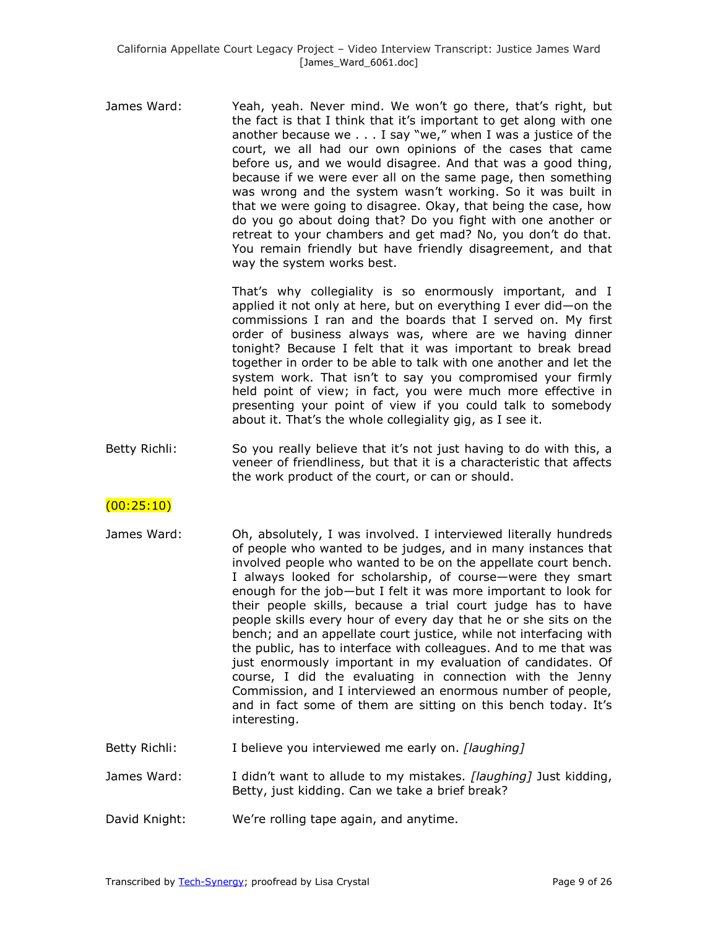James Ward: Yeah, yeah. Never mind. We won't go there, that's right, but the fact is that I think that it's important to get along with one another because we  $\dots$  I say "we," when I was a justice of the court, we all had our own opinions of the cases that came before us, and we would disagree. And that was a good thing, because if we were ever all on the same page, then something was wrong and the system wasn't working. So it was built in that we were going to disagree. Okay, that being the case, how do you go about doing that? Do you fight with one another or retreat to your chambers and get mad? No, you don't do that. You remain friendly but have friendly disagreement, and that way the system works best.

> That's why collegiality is so enormously important, and I applied it not only at here, but on everything I ever did—on the commissions I ran and the boards that I served on. My first order of business always was, where are we having dinner tonight? Because I felt that it was important to break bread together in order to be able to talk with one another and let the system work. That isn't to say you compromised your firmly held point of view; in fact, you were much more effective in presenting your point of view if you could talk to somebody about it. That's the whole collegiality gig, as I see it.

Betty Richli: So you really believe that it's not just having to do with this, a veneer of friendliness, but that it is a characteristic that affects the work product of the court, or can or should.

# $(00:25:10)$

- James Ward: Oh, absolutely, I was involved. I interviewed literally hundreds of people who wanted to be judges, and in many instances that involved people who wanted to be on the appellate court bench. I always looked for scholarship, of course—were they smart enough for the job—but I felt it was more important to look for their people skills, because a trial court judge has to have people skills every hour of every day that he or she sits on the bench; and an appellate court justice, while not interfacing with the public, has to interface with colleagues. And to me that was just enormously important in my evaluation of candidates. Of course, I did the evaluating in connection with the Jenny Commission, and I interviewed an enormous number of people, and in fact some of them are sitting on this bench today. It's interesting.
- Betty Richli: I believe you interviewed me early on. *[laughing]*
- James Ward: I didn't want to allude to my mistakes. *[laughing]* Just kidding, Betty, just kidding. Can we take a brief break?
- David Knight: We're rolling tape again, and anytime.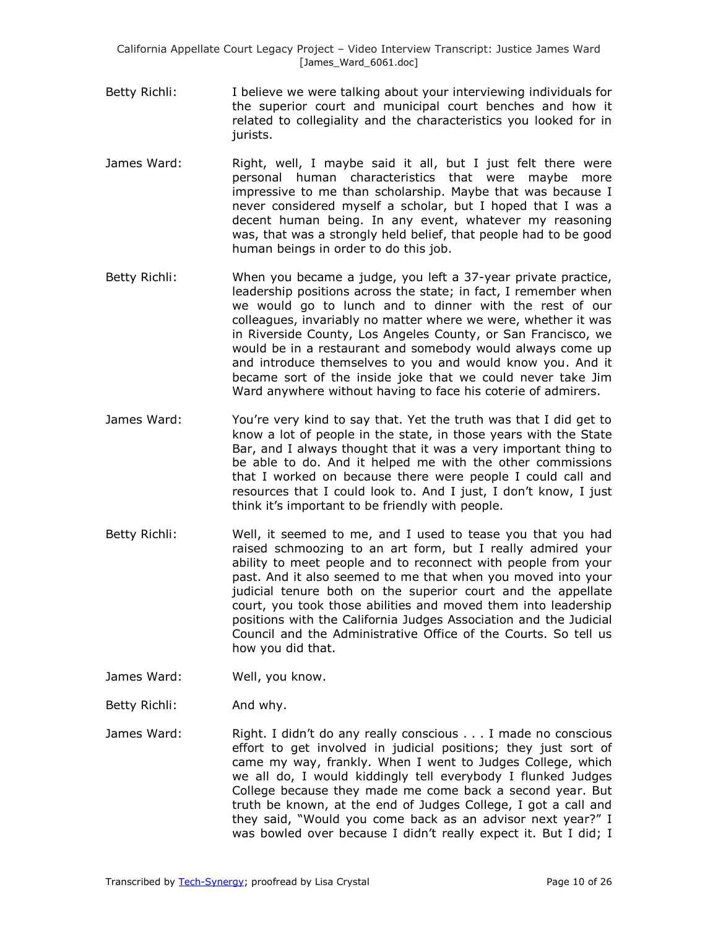- Betty Richli: I believe we were talking about your interviewing individuals for the superior court and municipal court benches and how it related to collegiality and the characteristics you looked for in jurists.
- James Ward: Right, well, I maybe said it all, but I just felt there were personal human characteristics that were maybe more impressive to me than scholarship. Maybe that was because I never considered myself a scholar, but I hoped that I was a decent human being. In any event, whatever my reasoning was, that was a strongly held belief, that people had to be good human beings in order to do this job.
- Betty Richli: When you became a judge, you left a 37-year private practice, leadership positions across the state; in fact, I remember when we would go to lunch and to dinner with the rest of our colleagues, invariably no matter where we were, whether it was in Riverside County, Los Angeles County, or San Francisco, we would be in a restaurant and somebody would always come up and introduce themselves to you and would know you. And it became sort of the inside joke that we could never take Jim Ward anywhere without having to face his coterie of admirers.
- James Ward: You're very kind to say that. Yet the truth was that I did get to know a lot of people in the state, in those years with the State Bar, and I always thought that it was a very important thing to be able to do. And it helped me with the other commissions that I worked on because there were people I could call and resources that I could look to. And I just, I don't know, I just think it's important to be friendly with people.
- Betty Richli: Well, it seemed to me, and I used to tease you that you had raised schmoozing to an art form, but I really admired your ability to meet people and to reconnect with people from your past. And it also seemed to me that when you moved into your judicial tenure both on the superior court and the appellate court, you took those abilities and moved them into leadership positions with the California Judges Association and the Judicial Council and the Administrative Office of the Courts. So tell us how you did that.
- James Ward: Well, you know.
- Betty Richli: And why.
- James Ward: Right. I didn't do any really conscious . . . I made no conscious effort to get involved in judicial positions; they just sort of came my way, frankly. When I went to Judges College, which we all do, I would kiddingly tell everybody I flunked Judges College because they made me come back a second year. But truth be known, at the end of Judges College, I got a call and they said, "Would you come back as an advisor next year?" I was bowled over because I didn't really expect it. But I did; I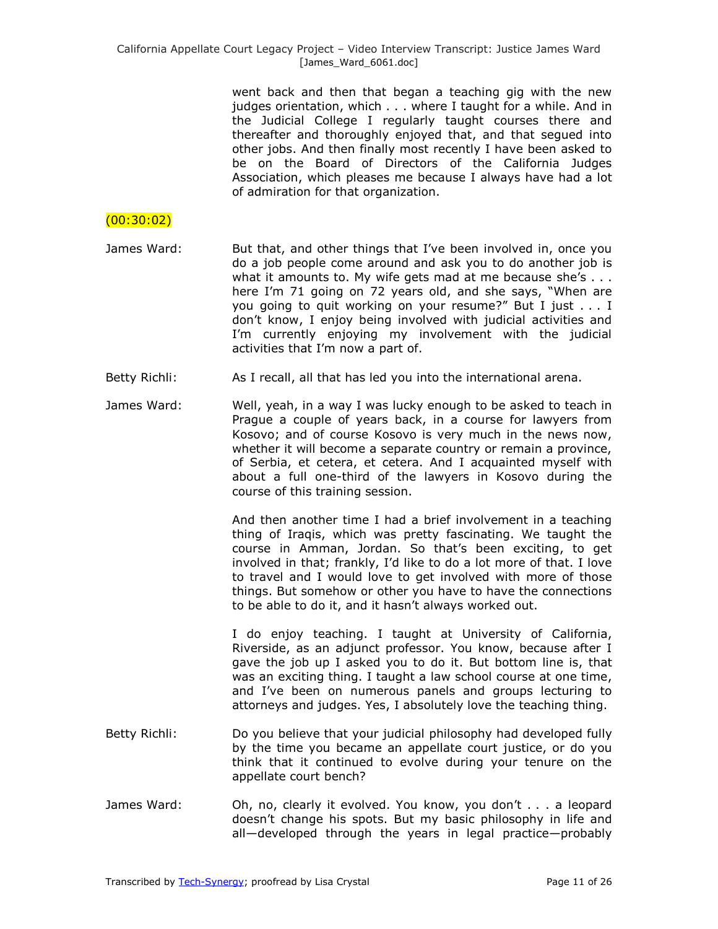went back and then that began a teaching gig with the new judges orientation, which . . . where I taught for a while. And in the Judicial College I regularly taught courses there and thereafter and thoroughly enjoyed that, and that segued into other jobs. And then finally most recently I have been asked to be on the Board of Directors of the California Judges Association, which pleases me because I always have had a lot of admiration for that organization.

### $(00:30:02)$

- James Ward: But that, and other things that I've been involved in, once you do a job people come around and ask you to do another job is what it amounts to. My wife gets mad at me because she's . . . here I'm 71 going on 72 years old, and she says, "When are you going to quit working on your resume?" But I just . . . I don't know, I enjoy being involved with judicial activities and I'm currently enjoying my involvement with the judicial activities that I'm now a part of.
- Betty Richli: As I recall, all that has led you into the international arena.
- James Ward: Well, yeah, in a way I was lucky enough to be asked to teach in Prague a couple of years back, in a course for lawyers from Kosovo; and of course Kosovo is very much in the news now, whether it will become a separate country or remain a province, of Serbia, et cetera, et cetera. And I acquainted myself with about a full one-third of the lawyers in Kosovo during the course of this training session.

And then another time I had a brief involvement in a teaching thing of Iraqis, which was pretty fascinating. We taught the course in Amman, Jordan. So that's been exciting, to get involved in that; frankly, I'd like to do a lot more of that. I love to travel and I would love to get involved with more of those things. But somehow or other you have to have the connections to be able to do it, and it hasn't always worked out.

I do enjoy teaching. I taught at University of California, Riverside, as an adjunct professor. You know, because after I gave the job up I asked you to do it. But bottom line is, that was an exciting thing. I taught a law school course at one time, and I've been on numerous panels and groups lecturing to attorneys and judges. Yes, I absolutely love the teaching thing.

- Betty Richli: Do you believe that your judicial philosophy had developed fully by the time you became an appellate court justice, or do you think that it continued to evolve during your tenure on the appellate court bench?
- James Ward: Oh, no, clearly it evolved. You know, you don't . . . a leopard doesn't change his spots. But my basic philosophy in life and all—developed through the years in legal practice—probably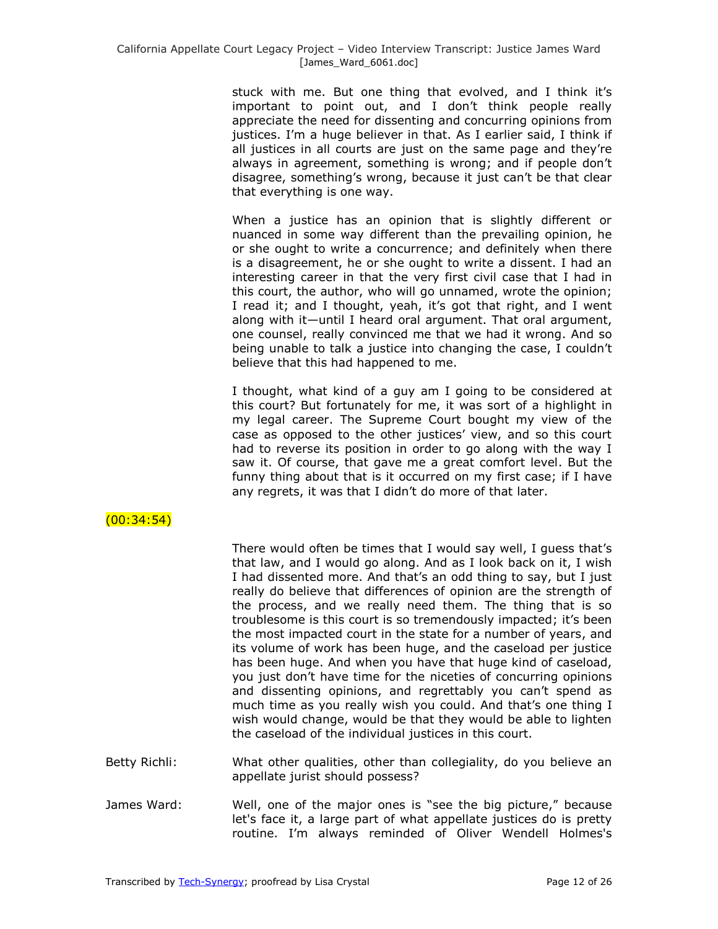stuck with me. But one thing that evolved, and I think it's important to point out, and I don't think people really appreciate the need for dissenting and concurring opinions from justices. I'm a huge believer in that. As I earlier said, I think if all justices in all courts are just on the same page and they're always in agreement, something is wrong; and if people don't disagree, something's wrong, because it just can't be that clear that everything is one way.

When a justice has an opinion that is slightly different or nuanced in some way different than the prevailing opinion, he or she ought to write a concurrence; and definitely when there is a disagreement, he or she ought to write a dissent. I had an interesting career in that the very first civil case that I had in this court, the author, who will go unnamed, wrote the opinion; I read it; and I thought, yeah, it's got that right, and I went along with it—until I heard oral argument. That oral argument, one counsel, really convinced me that we had it wrong. And so being unable to talk a justice into changing the case, I couldn't believe that this had happened to me.

I thought, what kind of a guy am I going to be considered at this court? But fortunately for me, it was sort of a highlight in my legal career. The Supreme Court bought my view of the case as opposed to the other justices' view, and so this court had to reverse its position in order to go along with the way I saw it. Of course, that gave me a great comfort level. But the funny thing about that is it occurred on my first case; if I have any regrets, it was that I didn't do more of that later.

# (00:34:54)

There would often be times that I would say well, I guess that's that law, and I would go along. And as I look back on it, I wish I had dissented more. And that's an odd thing to say, but I just really do believe that differences of opinion are the strength of the process, and we really need them. The thing that is so troublesome is this court is so tremendously impacted; it's been the most impacted court in the state for a number of years, and its volume of work has been huge, and the caseload per justice has been huge. And when you have that huge kind of caseload, you just don't have time for the niceties of concurring opinions and dissenting opinions, and regrettably you can't spend as much time as you really wish you could. And that's one thing I wish would change, would be that they would be able to lighten the caseload of the individual justices in this court.

- Betty Richli: What other qualities, other than collegiality, do you believe an appellate jurist should possess?
- James Ward: Well, one of the major ones is "see the big picture," because let's face it, a large part of what appellate justices do is pretty routine. I'm always reminded of Oliver Wendell Holmes's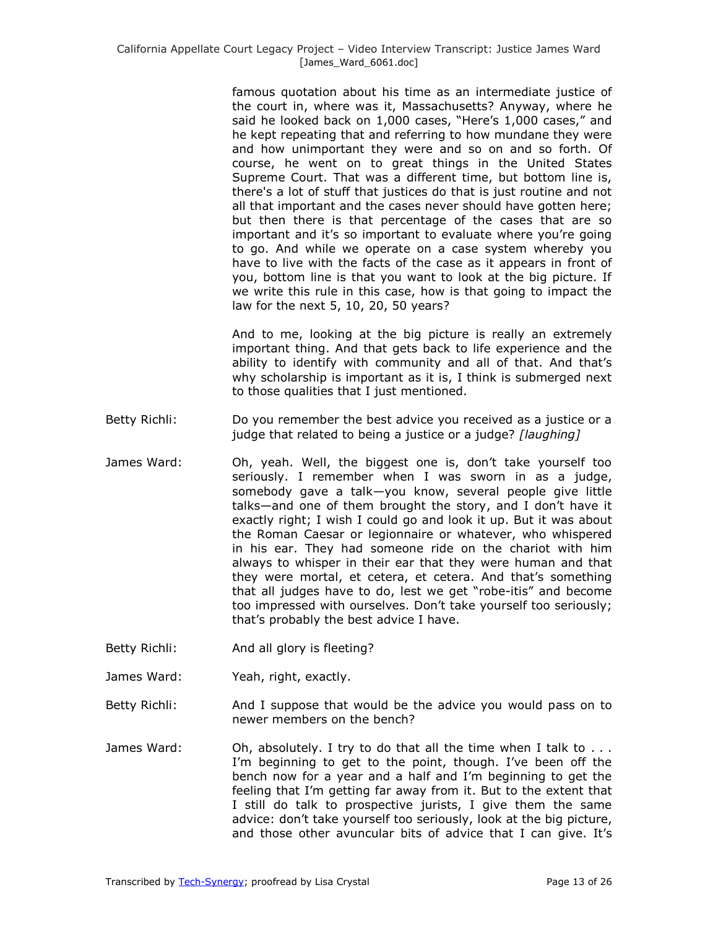famous quotation about his time as an intermediate justice of the court in, where was it, Massachusetts? Anyway, where he said he looked back on 1,000 cases, "Here's 1,000 cases," and he kept repeating that and referring to how mundane they were and how unimportant they were and so on and so forth. Of course, he went on to great things in the United States Supreme Court. That was a different time, but bottom line is, there's a lot of stuff that justices do that is just routine and not all that important and the cases never should have gotten here; but then there is that percentage of the cases that are so important and it's so important to evaluate where you're going to go. And while we operate on a case system whereby you have to live with the facts of the case as it appears in front of you, bottom line is that you want to look at the big picture. If we write this rule in this case, how is that going to impact the law for the next 5, 10, 20, 50 years?

And to me, looking at the big picture is really an extremely important thing. And that gets back to life experience and the ability to identify with community and all of that. And that's why scholarship is important as it is, I think is submerged next to those qualities that I just mentioned.

- Betty Richli: Do you remember the best advice you received as a justice or a judge that related to being a justice or a judge? *[laughing]*
- James Ward: Oh, yeah. Well, the biggest one is, don't take yourself too seriously. I remember when I was sworn in as a judge, somebody gave a talk—you know, several people give little talks—and one of them brought the story, and I don't have it exactly right; I wish I could go and look it up. But it was about the Roman Caesar or legionnaire or whatever, who whispered in his ear. They had someone ride on the chariot with him always to whisper in their ear that they were human and that they were mortal, et cetera, et cetera. And that's something that all judges have to do, lest we get "robe-itis" and become too impressed with ourselves. Don't take yourself too seriously; that's probably the best advice I have.
- Betty Richli: And all glory is fleeting?
- James Ward: Yeah, right, exactly.
- Betty Richli: And I suppose that would be the advice you would pass on to newer members on the bench?
- James Ward: Oh, absolutely. I try to do that all the time when I talk to ... I'm beginning to get to the point, though. I've been off the bench now for a year and a half and I'm beginning to get the feeling that I'm getting far away from it. But to the extent that I still do talk to prospective jurists, I give them the same advice: don't take yourself too seriously, look at the big picture, and those other avuncular bits of advice that I can give. It's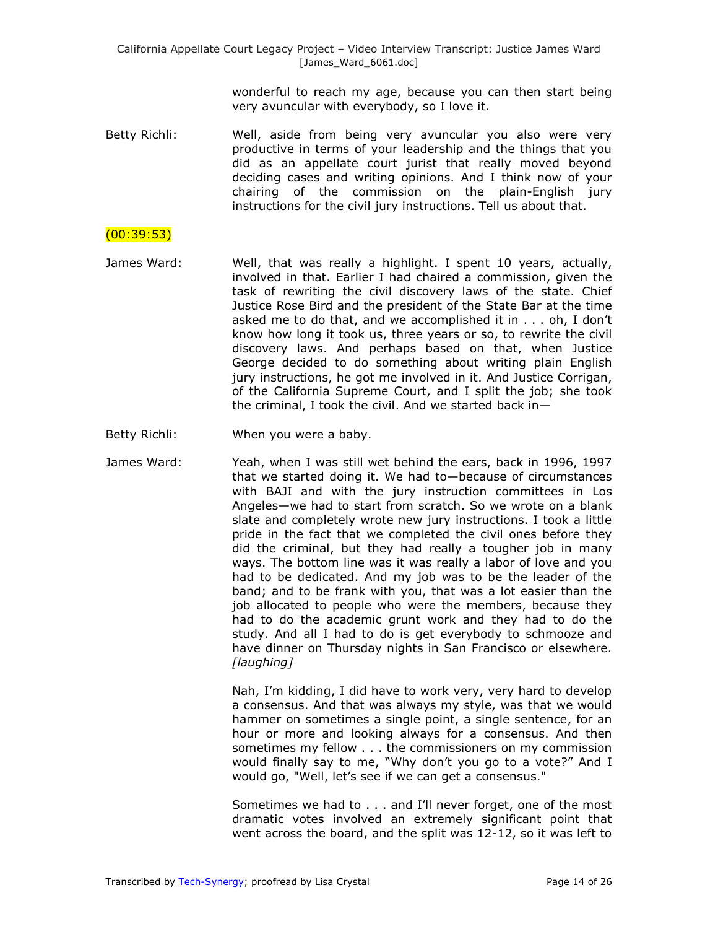wonderful to reach my age, because you can then start being very avuncular with everybody, so I love it.

Betty Richli: Well, aside from being very avuncular you also were very productive in terms of your leadership and the things that you did as an appellate court jurist that really moved beyond deciding cases and writing opinions. And I think now of your chairing of the commission on the plain-English jury instructions for the civil jury instructions. Tell us about that.

### (00:39:53)

- James Ward: Well, that was really a highlight. I spent 10 years, actually, involved in that. Earlier I had chaired a commission, given the task of rewriting the civil discovery laws of the state. Chief Justice Rose Bird and the president of the State Bar at the time asked me to do that, and we accomplished it in . . . oh, I don't know how long it took us, three years or so, to rewrite the civil discovery laws. And perhaps based on that, when Justice George decided to do something about writing plain English jury instructions, he got me involved in it. And Justice Corrigan, of the California Supreme Court, and I split the job; she took the criminal, I took the civil. And we started back in—
- Betty Richli: When you were a baby.
- James Ward: Yeah, when I was still wet behind the ears, back in 1996, 1997 that we started doing it. We had to—because of circumstances with BAJI and with the jury instruction committees in Los Angeles—we had to start from scratch. So we wrote on a blank slate and completely wrote new jury instructions. I took a little pride in the fact that we completed the civil ones before they did the criminal, but they had really a tougher job in many ways. The bottom line was it was really a labor of love and you had to be dedicated. And my job was to be the leader of the band; and to be frank with you, that was a lot easier than the job allocated to people who were the members, because they had to do the academic grunt work and they had to do the study. And all I had to do is get everybody to schmooze and have dinner on Thursday nights in San Francisco or elsewhere. *[laughing]*

Nah, I'm kidding, I did have to work very, very hard to develop a consensus. And that was always my style, was that we would hammer on sometimes a single point, a single sentence, for an hour or more and looking always for a consensus. And then sometimes my fellow . . . the commissioners on my commission would finally say to me, "Why don't you go to a vote?" And I would go, "Well, let's see if we can get a consensus."

Sometimes we had to . . . and I'll never forget, one of the most dramatic votes involved an extremely significant point that went across the board, and the split was 12-12, so it was left to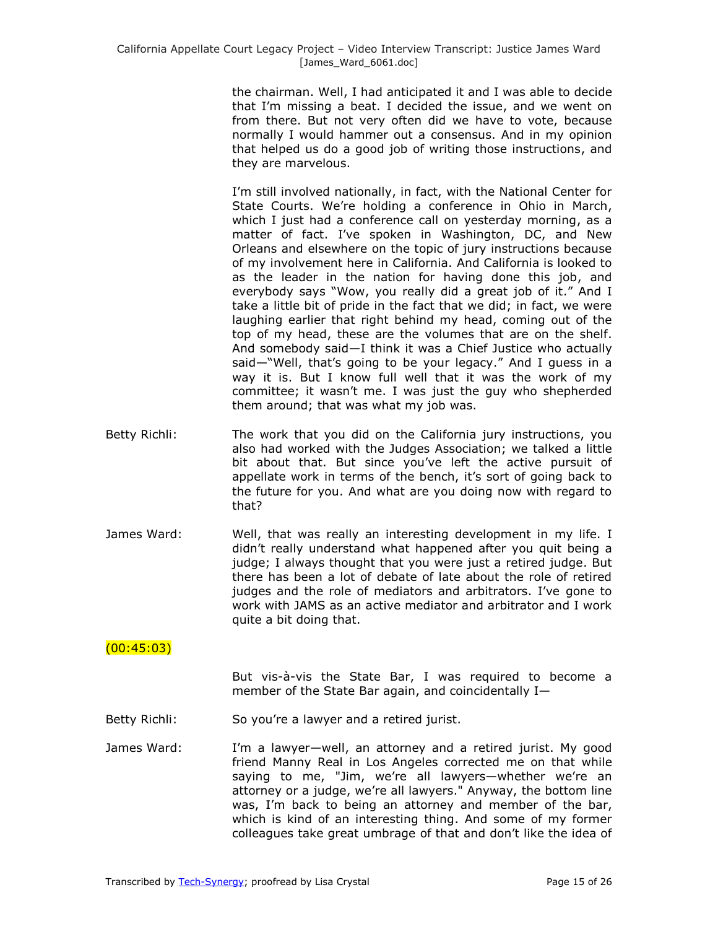the chairman. Well, I had anticipated it and I was able to decide that I'm missing a beat. I decided the issue, and we went on from there. But not very often did we have to vote, because normally I would hammer out a consensus. And in my opinion that helped us do a good job of writing those instructions, and they are marvelous.

I'm still involved nationally, in fact, with the National Center for State Courts. We're holding a conference in Ohio in March, which I just had a conference call on yesterday morning, as a matter of fact. I've spoken in Washington, DC, and New Orleans and elsewhere on the topic of jury instructions because of my involvement here in California. And California is looked to as the leader in the nation for having done this job, and everybody says "Wow, you really did a great job of it." And I take a little bit of pride in the fact that we did; in fact, we were laughing earlier that right behind my head, coming out of the top of my head, these are the volumes that are on the shelf. And somebody said—I think it was a Chief Justice who actually said—"Well, that's going to be your legacy." And I guess in a way it is. But I know full well that it was the work of my committee; it wasn't me. I was just the guy who shepherded them around; that was what my job was.

- Betty Richli: The work that you did on the California jury instructions, you also had worked with the Judges Association; we talked a little bit about that. But since you've left the active pursuit of appellate work in terms of the bench, it's sort of going back to the future for you. And what are you doing now with regard to that?
- James Ward: Well, that was really an interesting development in my life. I didn't really understand what happened after you quit being a judge; I always thought that you were just a retired judge. But there has been a lot of debate of late about the role of retired judges and the role of mediators and arbitrators. I've gone to work with JAMS as an active mediator and arbitrator and I work quite a bit doing that.

## $(00:45:03)$

But vis-à-vis the State Bar, I was required to become a member of the State Bar again, and coincidentally I—

- Betty Richli: So you're a lawyer and a retired jurist.
- James Ward: I'm a lawyer—well, an attorney and a retired jurist. My good friend Manny Real in Los Angeles corrected me on that while saying to me, "Jim, we're all lawyers—whether we're an attorney or a judge, we're all lawyers." Anyway, the bottom line was, I'm back to being an attorney and member of the bar, which is kind of an interesting thing. And some of my former colleagues take great umbrage of that and don't like the idea of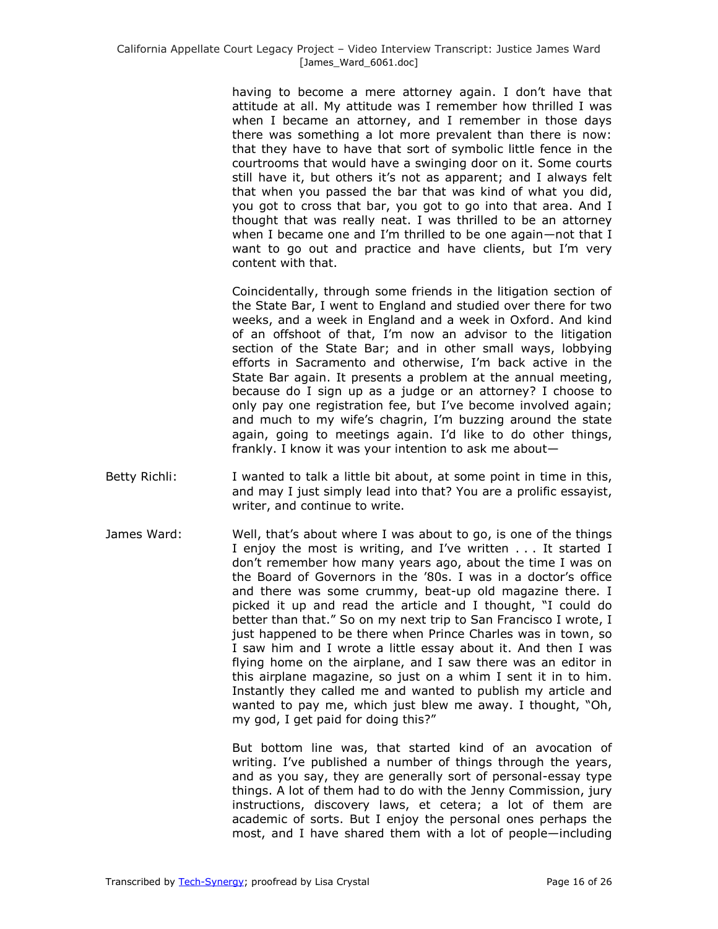having to become a mere attorney again. I don't have that attitude at all. My attitude was I remember how thrilled I was when I became an attorney, and I remember in those days there was something a lot more prevalent than there is now: that they have to have that sort of symbolic little fence in the courtrooms that would have a swinging door on it. Some courts still have it, but others it's not as apparent; and I always felt that when you passed the bar that was kind of what you did, you got to cross that bar, you got to go into that area. And I thought that was really neat. I was thrilled to be an attorney when I became one and I'm thrilled to be one again—not that I want to go out and practice and have clients, but I'm very content with that.

Coincidentally, through some friends in the litigation section of the State Bar, I went to England and studied over there for two weeks, and a week in England and a week in Oxford. And kind of an offshoot of that, I'm now an advisor to the litigation section of the State Bar; and in other small ways, lobbying efforts in Sacramento and otherwise, I'm back active in the State Bar again. It presents a problem at the annual meeting, because do I sign up as a judge or an attorney? I choose to only pay one registration fee, but I've become involved again; and much to my wife's chagrin, I'm buzzing around the state again, going to meetings again. I'd like to do other things, frankly. I know it was your intention to ask me about—

- Betty Richli: I wanted to talk a little bit about, at some point in time in this, and may I just simply lead into that? You are a prolific essayist, writer, and continue to write.
- James Ward: Well, that's about where I was about to go, is one of the things I enjoy the most is writing, and I've written . . . It started I don't remember how many years ago, about the time I was on the Board of Governors in the '80s. I was in a doctor's office and there was some crummy, beat-up old magazine there. I picked it up and read the article and I thought, "I could do better than that." So on my next trip to San Francisco I wrote, I just happened to be there when Prince Charles was in town, so I saw him and I wrote a little essay about it. And then I was flying home on the airplane, and I saw there was an editor in this airplane magazine, so just on a whim I sent it in to him. Instantly they called me and wanted to publish my article and wanted to pay me, which just blew me away. I thought, "Oh, my god, I get paid for doing this?"

But bottom line was, that started kind of an avocation of writing. I've published a number of things through the years, and as you say, they are generally sort of personal-essay type things. A lot of them had to do with the Jenny Commission, jury instructions, discovery laws, et cetera; a lot of them are academic of sorts. But I enjoy the personal ones perhaps the most, and I have shared them with a lot of people—including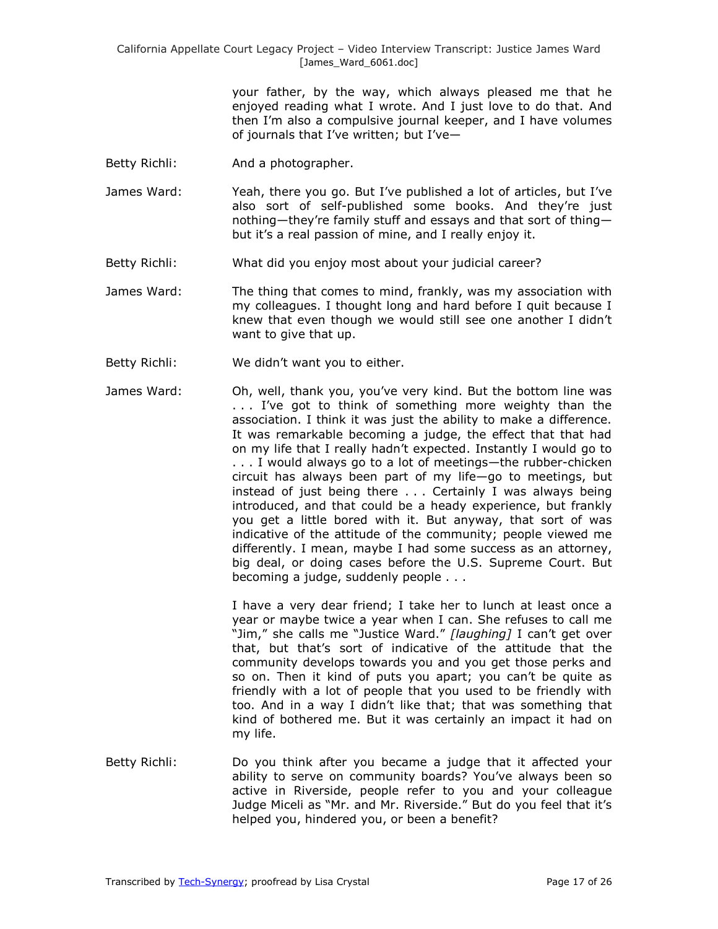> your father, by the way, which always pleased me that he enjoyed reading what I wrote. And I just love to do that. And then I'm also a compulsive journal keeper, and I have volumes of journals that I've written; but I've—

- Betty Richli: And a photographer.
- James Ward: Yeah, there you go. But I've published a lot of articles, but I've also sort of self-published some books. And they're just nothing—they're family stuff and essays and that sort of thing but it's a real passion of mine, and I really enjoy it.
- Betty Richli: What did you enjoy most about your judicial career?
- James Ward: The thing that comes to mind, frankly, was my association with my colleagues. I thought long and hard before I quit because I knew that even though we would still see one another I didn't want to give that up.
- Betty Richli: We didn't want you to either.
- James Ward: Oh, well, thank you, you've very kind. But the bottom line was . . . I've got to think of something more weighty than the association. I think it was just the ability to make a difference. It was remarkable becoming a judge, the effect that that had on my life that I really hadn't expected. Instantly I would go to . . . I would always go to a lot of meetings—the rubber-chicken circuit has always been part of my life—go to meetings, but instead of just being there . . . Certainly I was always being introduced, and that could be a heady experience, but frankly you get a little bored with it. But anyway, that sort of was indicative of the attitude of the community; people viewed me differently. I mean, maybe I had some success as an attorney, big deal, or doing cases before the U.S. Supreme Court. But becoming a judge, suddenly people . . .

I have a very dear friend; I take her to lunch at least once a year or maybe twice a year when I can. She refuses to call me "Jim," she calls me "Justice Ward." [laughing] I can't get over that, but that's sort of indicative of the attitude that the community develops towards you and you get those perks and so on. Then it kind of puts you apart; you can't be quite as friendly with a lot of people that you used to be friendly with too. And in a way I didn't like that; that was something that kind of bothered me. But it was certainly an impact it had on my life.

Betty Richli: Do you think after you became a judge that it affected your ability to serve on community boards? You've always been so active in Riverside, people refer to you and your colleague Judge Miceli as "Mr. and Mr. Riverside." But do you feel that it's helped you, hindered you, or been a benefit?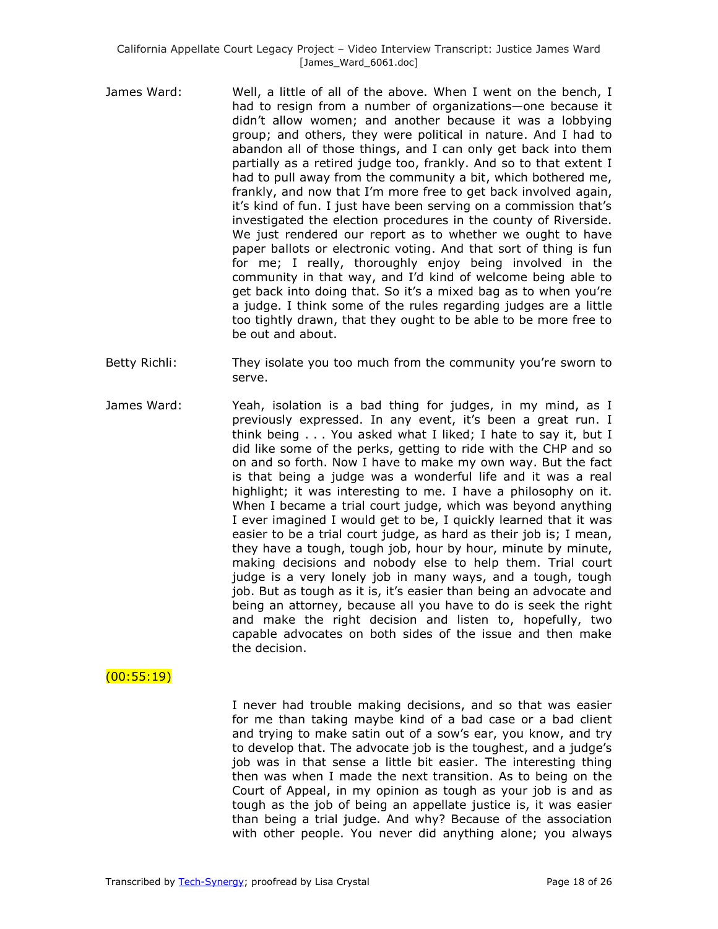- James Ward: Well, a little of all of the above. When I went on the bench, I had to resign from a number of organizations—one because it didn't allow women; and another because it was a lobbying group; and others, they were political in nature. And I had to abandon all of those things, and I can only get back into them partially as a retired judge too, frankly. And so to that extent I had to pull away from the community a bit, which bothered me, frankly, and now that I'm more free to get back involved again, it's kind of fun. I just have been serving on a commission that's investigated the election procedures in the county of Riverside. We just rendered our report as to whether we ought to have paper ballots or electronic voting. And that sort of thing is fun for me; I really, thoroughly enjoy being involved in the community in that way, and I'd kind of welcome being able to get back into doing that. So it's a mixed bag as to when you're a judge. I think some of the rules regarding judges are a little too tightly drawn, that they ought to be able to be more free to be out and about.
- Betty Richli: They isolate you too much from the community you're sworn to serve.
- James Ward: Yeah, isolation is a bad thing for judges, in my mind, as I previously expressed. In any event, it's been a great run. I think being . . . You asked what I liked; I hate to say it, but I did like some of the perks, getting to ride with the CHP and so on and so forth. Now I have to make my own way. But the fact is that being a judge was a wonderful life and it was a real highlight; it was interesting to me. I have a philosophy on it. When I became a trial court judge, which was beyond anything I ever imagined I would get to be, I quickly learned that it was easier to be a trial court judge, as hard as their job is; I mean, they have a tough, tough job, hour by hour, minute by minute, making decisions and nobody else to help them. Trial court judge is a very lonely job in many ways, and a tough, tough job. But as tough as it is, it's easier than being an advocate and being an attorney, because all you have to do is seek the right and make the right decision and listen to, hopefully, two capable advocates on both sides of the issue and then make the decision.

### $(00:55:19)$

I never had trouble making decisions, and so that was easier for me than taking maybe kind of a bad case or a bad client and trying to make satin out of a sow's ear, you know, and try to develop that. The advocate job is the toughest, and a judge's job was in that sense a little bit easier. The interesting thing then was when I made the next transition. As to being on the Court of Appeal, in my opinion as tough as your job is and as tough as the job of being an appellate justice is, it was easier than being a trial judge. And why? Because of the association with other people. You never did anything alone; you always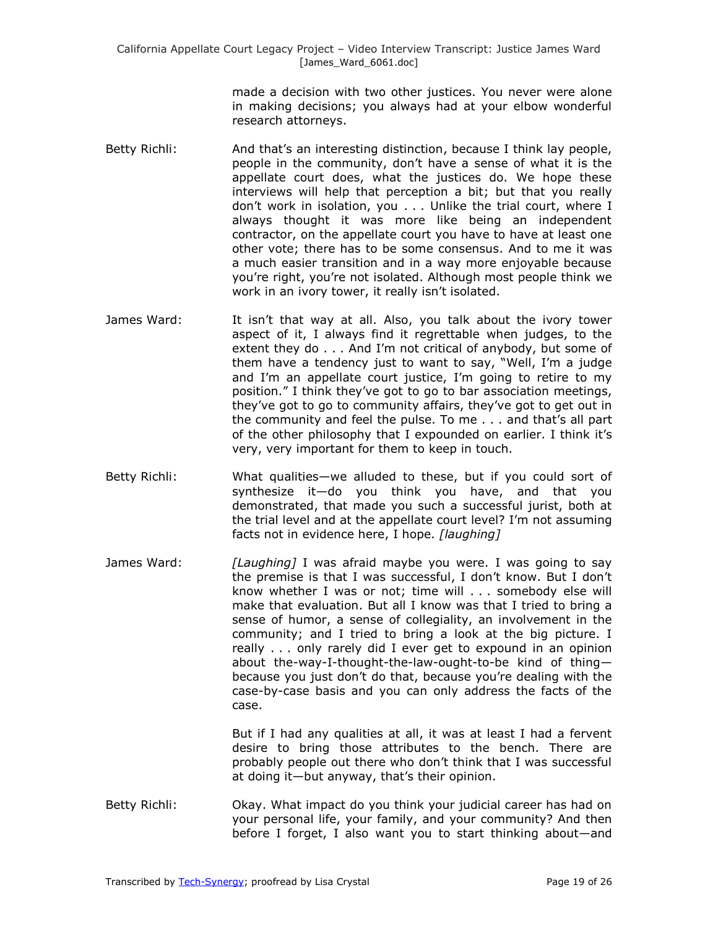> made a decision with two other justices. You never were alone in making decisions; you always had at your elbow wonderful research attorneys.

- Betty Richli: And that's an interesting distinction, because I think lay people, people in the community, don't have a sense of what it is the appellate court does, what the justices do. We hope these interviews will help that perception a bit; but that you really don't work in isolation, you . . . Unlike the trial court, where I always thought it was more like being an independent contractor, on the appellate court you have to have at least one other vote; there has to be some consensus. And to me it was a much easier transition and in a way more enjoyable because you're right, you're not isolated. Although most people think we work in an ivory tower, it really isn't isolated.
- James Ward: It isn't that way at all. Also, you talk about the ivory tower aspect of it, I always find it regrettable when judges, to the extent they do . . . And I'm not critical of anybody, but some of them have a tendency just to want to say, "Well, I'm a judge and I'm an appellate court justice, I'm going to retire to my position.‖ I think they've got to go to bar association meetings, they've got to go to community affairs, they've got to get out in the community and feel the pulse. To me . . . and that's all part of the other philosophy that I expounded on earlier. I think it's very, very important for them to keep in touch.
- Betty Richli: What qualities—we alluded to these, but if you could sort of synthesize it—do you think you have, and that you demonstrated, that made you such a successful jurist, both at the trial level and at the appellate court level? I'm not assuming facts not in evidence here, I hope. *[laughing]*
- James Ward: *[Laughing]* I was afraid maybe you were. I was going to say the premise is that I was successful, I don't know. But I don't know whether I was or not; time will . . . somebody else will make that evaluation. But all I know was that I tried to bring a sense of humor, a sense of collegiality, an involvement in the community; and I tried to bring a look at the big picture. I really . . . only rarely did I ever get to expound in an opinion about the-way-I-thought-the-law-ought-to-be kind of thing because you just don't do that, because you're dealing with the case-by-case basis and you can only address the facts of the case.

But if I had any qualities at all, it was at least I had a fervent desire to bring those attributes to the bench. There are probably people out there who don't think that I was successful at doing it—but anyway, that's their opinion.

Betty Richli: Okay. What impact do you think your judicial career has had on your personal life, your family, and your community? And then before I forget, I also want you to start thinking about—and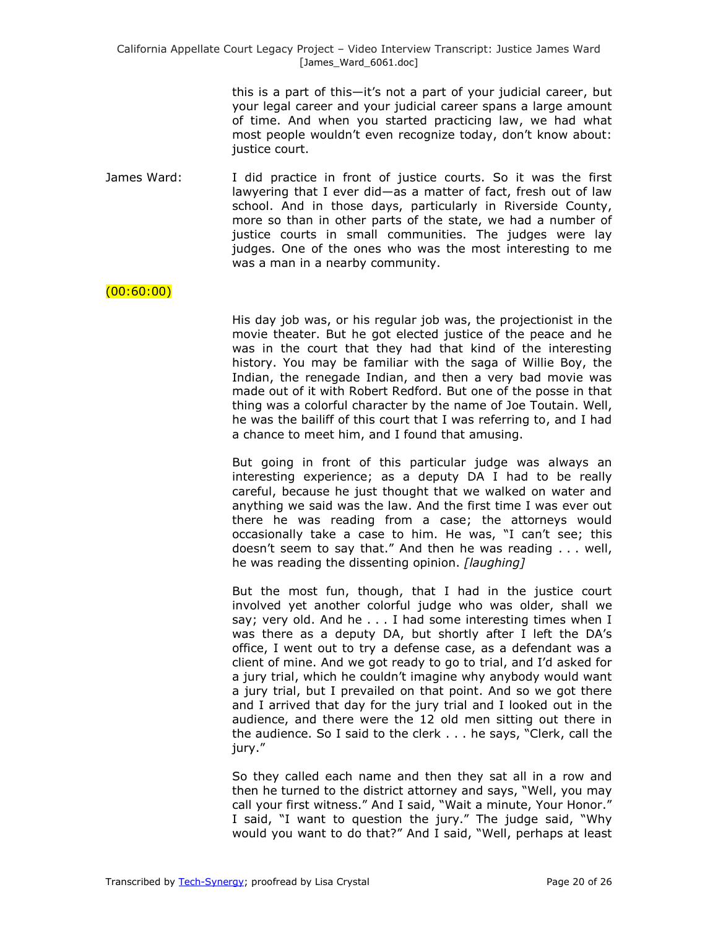this is a part of this—it's not a part of your judicial career, but your legal career and your judicial career spans a large amount of time. And when you started practicing law, we had what most people wouldn't even recognize today, don't know about: justice court.

James Ward: I did practice in front of justice courts. So it was the first lawyering that I ever did—as a matter of fact, fresh out of law school. And in those days, particularly in Riverside County, more so than in other parts of the state, we had a number of justice courts in small communities. The judges were lay judges. One of the ones who was the most interesting to me was a man in a nearby community.

### $(00:60:00)$

His day job was, or his regular job was, the projectionist in the movie theater. But he got elected justice of the peace and he was in the court that they had that kind of the interesting history. You may be familiar with the saga of Willie Boy, the Indian, the renegade Indian, and then a very bad movie was made out of it with Robert Redford. But one of the posse in that thing was a colorful character by the name of Joe Toutain. Well, he was the bailiff of this court that I was referring to, and I had a chance to meet him, and I found that amusing.

But going in front of this particular judge was always an interesting experience; as a deputy DA I had to be really careful, because he just thought that we walked on water and anything we said was the law. And the first time I was ever out there he was reading from a case; the attorneys would occasionally take a case to him. He was, "I can't see; this doesn't seem to say that." And then he was reading  $\dots$  well, he was reading the dissenting opinion. *[laughing]*

But the most fun, though, that I had in the justice court involved yet another colorful judge who was older, shall we say; very old. And he . . . I had some interesting times when I was there as a deputy DA, but shortly after I left the DA's office, I went out to try a defense case, as a defendant was a client of mine. And we got ready to go to trial, and I'd asked for a jury trial, which he couldn't imagine why anybody would want a jury trial, but I prevailed on that point. And so we got there and I arrived that day for the jury trial and I looked out in the audience, and there were the 12 old men sitting out there in the audience. So I said to the clerk  $\ldots$  he says, "Clerk, call the jury."

So they called each name and then they sat all in a row and then he turned to the district attorney and says, "Well, you may call your first witness." And I said, "Wait a minute, Your Honor." I said, "I want to question the jury." The judge said, "Why would you want to do that?" And I said, "Well, perhaps at least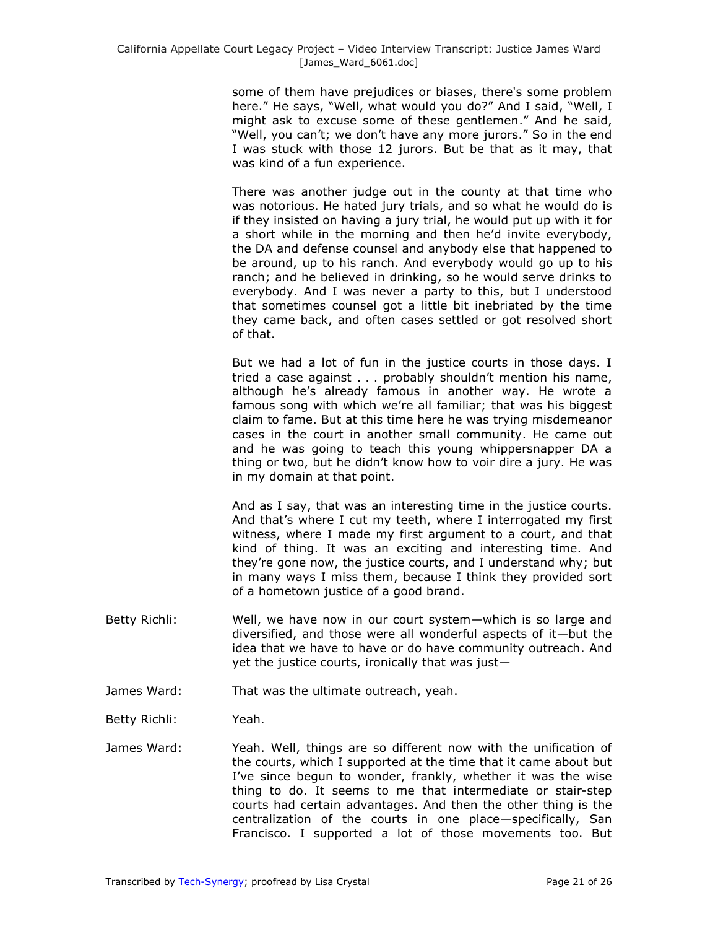some of them have prejudices or biases, there's some problem here." He says, "Well, what would you do?" And I said, "Well, I might ask to excuse some of these gentlemen." And he said, "Well, you can't; we don't have any more jurors." So in the end I was stuck with those 12 jurors. But be that as it may, that was kind of a fun experience.

There was another judge out in the county at that time who was notorious. He hated jury trials, and so what he would do is if they insisted on having a jury trial, he would put up with it for a short while in the morning and then he'd invite everybody, the DA and defense counsel and anybody else that happened to be around, up to his ranch. And everybody would go up to his ranch; and he believed in drinking, so he would serve drinks to everybody. And I was never a party to this, but I understood that sometimes counsel got a little bit inebriated by the time they came back, and often cases settled or got resolved short of that.

But we had a lot of fun in the justice courts in those days. I tried a case against . . . probably shouldn't mention his name, although he's already famous in another way. He wrote a famous song with which we're all familiar; that was his biggest claim to fame. But at this time here he was trying misdemeanor cases in the court in another small community. He came out and he was going to teach this young whippersnapper DA a thing or two, but he didn't know how to voir dire a jury. He was in my domain at that point.

And as I say, that was an interesting time in the justice courts. And that's where I cut my teeth, where I interrogated my first witness, where I made my first argument to a court, and that kind of thing. It was an exciting and interesting time. And they're gone now, the justice courts, and I understand why; but in many ways I miss them, because I think they provided sort of a hometown justice of a good brand.

- Betty Richli: Well, we have now in our court system—which is so large and diversified, and those were all wonderful aspects of it—but the idea that we have to have or do have community outreach. And yet the justice courts, ironically that was just—
- James Ward: That was the ultimate outreach, yeah.
- Betty Richli: Yeah.
- James Ward: Yeah. Well, things are so different now with the unification of the courts, which I supported at the time that it came about but I've since begun to wonder, frankly, whether it was the wise thing to do. It seems to me that intermediate or stair-step courts had certain advantages. And then the other thing is the centralization of the courts in one place—specifically, San Francisco. I supported a lot of those movements too. But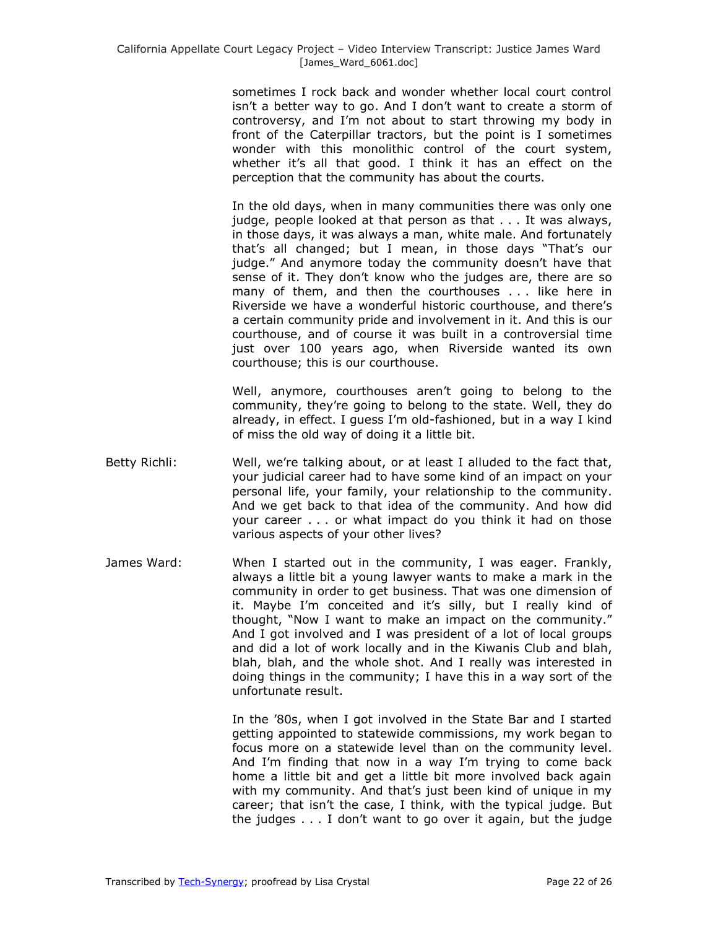sometimes I rock back and wonder whether local court control isn't a better way to go. And I don't want to create a storm of controversy, and I'm not about to start throwing my body in front of the Caterpillar tractors, but the point is I sometimes wonder with this monolithic control of the court system, whether it's all that good. I think it has an effect on the perception that the community has about the courts.

In the old days, when in many communities there was only one judge, people looked at that person as that . . . It was always, in those days, it was always a man, white male. And fortunately that's all changed; but I mean, in those days "That's our judge." And anymore today the community doesn't have that sense of it. They don't know who the judges are, there are so many of them, and then the courthouses . . . like here in Riverside we have a wonderful historic courthouse, and there's a certain community pride and involvement in it. And this is our courthouse, and of course it was built in a controversial time just over 100 years ago, when Riverside wanted its own courthouse; this is our courthouse.

Well, anymore, courthouses aren't going to belong to the community, they're going to belong to the state. Well, they do already, in effect. I guess I'm old-fashioned, but in a way I kind of miss the old way of doing it a little bit.

- Betty Richli: Well, we're talking about, or at least I alluded to the fact that, your judicial career had to have some kind of an impact on your personal life, your family, your relationship to the community. And we get back to that idea of the community. And how did your career . . . or what impact do you think it had on those various aspects of your other lives?
- James Ward: When I started out in the community, I was eager. Frankly, always a little bit a young lawyer wants to make a mark in the community in order to get business. That was one dimension of it. Maybe I'm conceited and it's silly, but I really kind of thought, "Now I want to make an impact on the community." And I got involved and I was president of a lot of local groups and did a lot of work locally and in the Kiwanis Club and blah, blah, blah, and the whole shot. And I really was interested in doing things in the community; I have this in a way sort of the unfortunate result.

In the '80s, when I got involved in the State Bar and I started getting appointed to statewide commissions, my work began to focus more on a statewide level than on the community level. And I'm finding that now in a way I'm trying to come back home a little bit and get a little bit more involved back again with my community. And that's just been kind of unique in my career; that isn't the case, I think, with the typical judge. But the judges . . . I don't want to go over it again, but the judge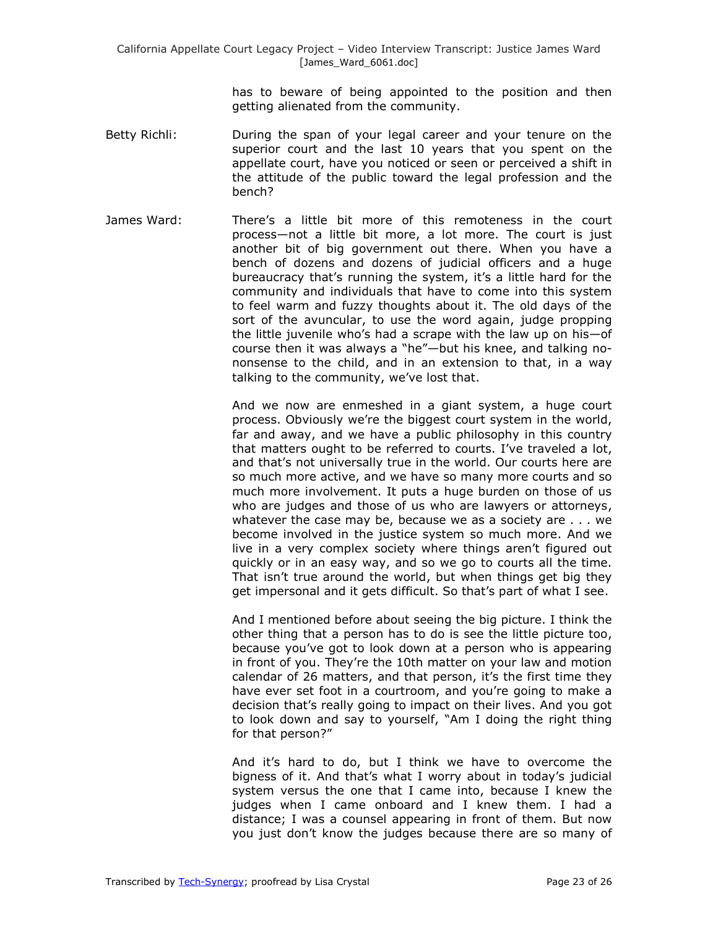has to beware of being appointed to the position and then getting alienated from the community.

- Betty Richli: During the span of your legal career and your tenure on the superior court and the last 10 years that you spent on the appellate court, have you noticed or seen or perceived a shift in the attitude of the public toward the legal profession and the bench?
- James Ward: There's a little bit more of this remoteness in the court process—not a little bit more, a lot more. The court is just another bit of big government out there. When you have a bench of dozens and dozens of judicial officers and a huge bureaucracy that's running the system, it's a little hard for the community and individuals that have to come into this system to feel warm and fuzzy thoughts about it. The old days of the sort of the avuncular, to use the word again, judge propping the little juvenile who's had a scrape with the law up on his—of course then it was always a "he"-but his knee, and talking nononsense to the child, and in an extension to that, in a way talking to the community, we've lost that.

And we now are enmeshed in a giant system, a huge court process. Obviously we're the biggest court system in the world, far and away, and we have a public philosophy in this country that matters ought to be referred to courts. I've traveled a lot, and that's not universally true in the world. Our courts here are so much more active, and we have so many more courts and so much more involvement. It puts a huge burden on those of us who are judges and those of us who are lawyers or attorneys, whatever the case may be, because we as a society are . . . we become involved in the justice system so much more. And we live in a very complex society where things aren't figured out quickly or in an easy way, and so we go to courts all the time. That isn't true around the world, but when things get big they get impersonal and it gets difficult. So that's part of what I see.

And I mentioned before about seeing the big picture. I think the other thing that a person has to do is see the little picture too, because you've got to look down at a person who is appearing in front of you. They're the 10th matter on your law and motion calendar of 26 matters, and that person, it's the first time they have ever set foot in a courtroom, and you're going to make a decision that's really going to impact on their lives. And you got to look down and say to yourself, "Am I doing the right thing for that person?"

And it's hard to do, but I think we have to overcome the bigness of it. And that's what I worry about in today's judicial system versus the one that I came into, because I knew the judges when I came onboard and I knew them. I had a distance; I was a counsel appearing in front of them. But now you just don't know the judges because there are so many of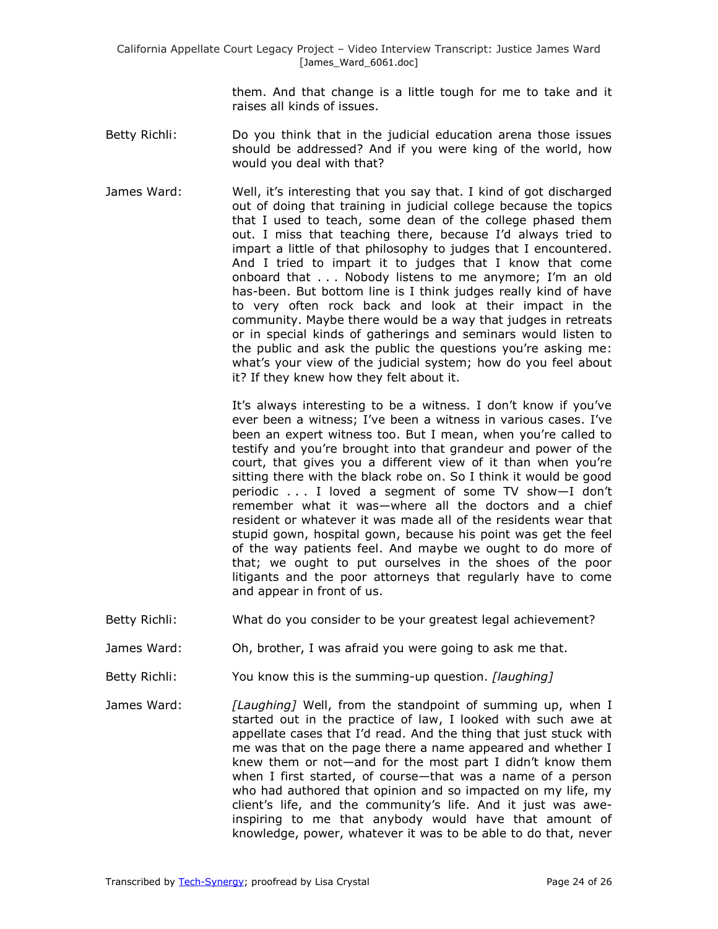them. And that change is a little tough for me to take and it raises all kinds of issues.

- Betty Richli: Do you think that in the judicial education arena those issues should be addressed? And if you were king of the world, how would you deal with that?
- James Ward: Well, it's interesting that you say that. I kind of got discharged out of doing that training in judicial college because the topics that I used to teach, some dean of the college phased them out. I miss that teaching there, because I'd always tried to impart a little of that philosophy to judges that I encountered. And I tried to impart it to judges that I know that come onboard that . . . Nobody listens to me anymore; I'm an old has-been. But bottom line is I think judges really kind of have to very often rock back and look at their impact in the community. Maybe there would be a way that judges in retreats or in special kinds of gatherings and seminars would listen to the public and ask the public the questions you're asking me: what's your view of the judicial system; how do you feel about it? If they knew how they felt about it.

It's always interesting to be a witness. I don't know if you've ever been a witness; I've been a witness in various cases. I've been an expert witness too. But I mean, when you're called to testify and you're brought into that grandeur and power of the court, that gives you a different view of it than when you're sitting there with the black robe on. So I think it would be good periodic . . . I loved a segment of some TV show—I don't remember what it was—where all the doctors and a chief resident or whatever it was made all of the residents wear that stupid gown, hospital gown, because his point was get the feel of the way patients feel. And maybe we ought to do more of that; we ought to put ourselves in the shoes of the poor litigants and the poor attorneys that regularly have to come and appear in front of us.

- Betty Richli: What do you consider to be your greatest legal achievement?
- James Ward: Oh, brother, I was afraid you were going to ask me that.
- Betty Richli: You know this is the summing-up question. *[laughing]*
- James Ward: *[Laughing]* Well, from the standpoint of summing up, when I started out in the practice of law, I looked with such awe at appellate cases that I'd read. And the thing that just stuck with me was that on the page there a name appeared and whether I knew them or not—and for the most part I didn't know them when I first started, of course—that was a name of a person who had authored that opinion and so impacted on my life, my client's life, and the community's life. And it just was aweinspiring to me that anybody would have that amount of knowledge, power, whatever it was to be able to do that, never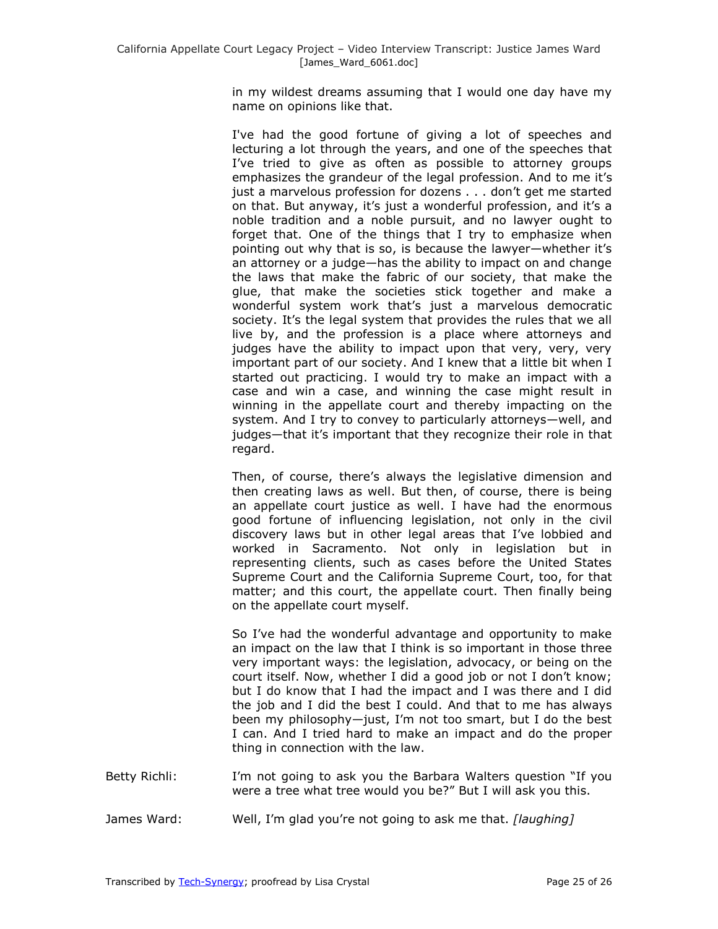in my wildest dreams assuming that I would one day have my name on opinions like that.

I've had the good fortune of giving a lot of speeches and lecturing a lot through the years, and one of the speeches that I've tried to give as often as possible to attorney groups emphasizes the grandeur of the legal profession. And to me it's just a marvelous profession for dozens . . . don't get me started on that. But anyway, it's just a wonderful profession, and it's a noble tradition and a noble pursuit, and no lawyer ought to forget that. One of the things that I try to emphasize when pointing out why that is so, is because the lawyer—whether it's an attorney or a judge—has the ability to impact on and change the laws that make the fabric of our society, that make the glue, that make the societies stick together and make a wonderful system work that's just a marvelous democratic society. It's the legal system that provides the rules that we all live by, and the profession is a place where attorneys and judges have the ability to impact upon that very, very, very important part of our society. And I knew that a little bit when I started out practicing. I would try to make an impact with a case and win a case, and winning the case might result in winning in the appellate court and thereby impacting on the system. And I try to convey to particularly attorneys—well, and judges—that it's important that they recognize their role in that regard.

Then, of course, there's always the legislative dimension and then creating laws as well. But then, of course, there is being an appellate court justice as well. I have had the enormous good fortune of influencing legislation, not only in the civil discovery laws but in other legal areas that I've lobbied and worked in Sacramento. Not only in legislation but in representing clients, such as cases before the United States Supreme Court and the California Supreme Court, too, for that matter; and this court, the appellate court. Then finally being on the appellate court myself.

So I've had the wonderful advantage and opportunity to make an impact on the law that I think is so important in those three very important ways: the legislation, advocacy, or being on the court itself. Now, whether I did a good job or not I don't know; but I do know that I had the impact and I was there and I did the job and I did the best I could. And that to me has always been my philosophy—just, I'm not too smart, but I do the best I can. And I tried hard to make an impact and do the proper thing in connection with the law.

- Betty Richli: I'm not going to ask you the Barbara Walters question "If you were a tree what tree would you be?" But I will ask you this.
- James Ward: Well, I'm glad you're not going to ask me that. *[laughing]*